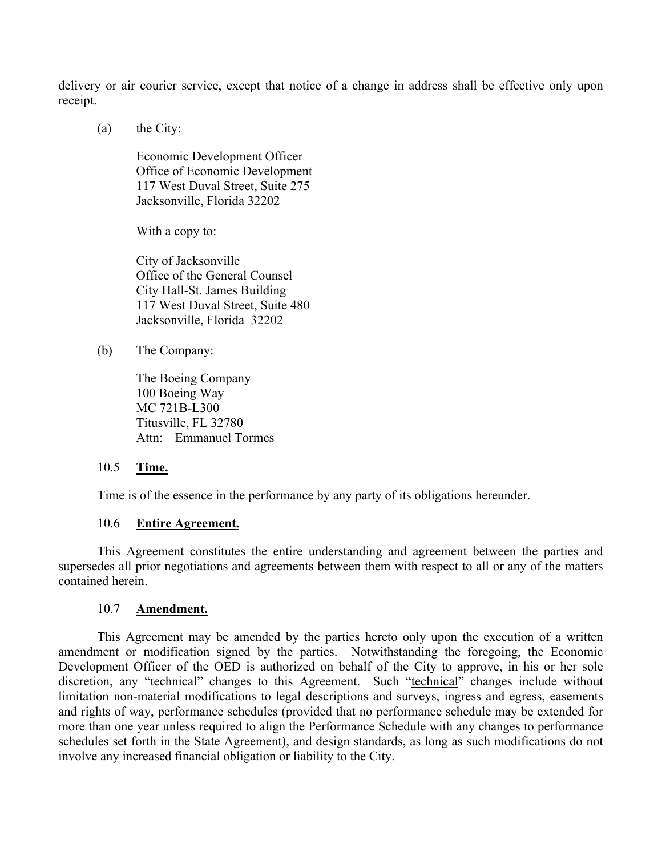delivery or air courier service, except that notice of a change in address shall be effective only upon receipt.

(a) the City:

Economic Development Officer Office of Economic Development 117 West Duval Street, Suite 275 Jacksonville, Florida 32202

With a copy to:

City of Jacksonville Office of the General Counsel City Hall-St. James Building 117 West Duval Street, Suite 480 Jacksonville, Florida 32202

(b) The Company:

The Boeing Company 100 Boeing Way MC 721B-L300 Titusville, FL 32780 Attn: Emmanuel Tormes

#### 10.5 **Time.**

Time is of the essence in the performance by any party of its obligations hereunder.

#### 10.6 **Entire Agreement.**

This Agreement constitutes the entire understanding and agreement between the parties and supersedes all prior negotiations and agreements between them with respect to all or any of the matters contained herein.

#### 10.7 **Amendment.**

This Agreement may be amended by the parties hereto only upon the execution of a written amendment or modification signed by the parties. Notwithstanding the foregoing, the Economic Development Officer of the OED is authorized on behalf of the City to approve, in his or her sole discretion, any "technical" changes to this Agreement. Such "technical" changes include without limitation non-material modifications to legal descriptions and surveys, ingress and egress, easements and rights of way, performance schedules (provided that no performance schedule may be extended for more than one year unless required to align the Performance Schedule with any changes to performance schedules set forth in the State Agreement), and design standards, as long as such modifications do not involve any increased financial obligation or liability to the City.

> **Revised On File Page 15 of 32**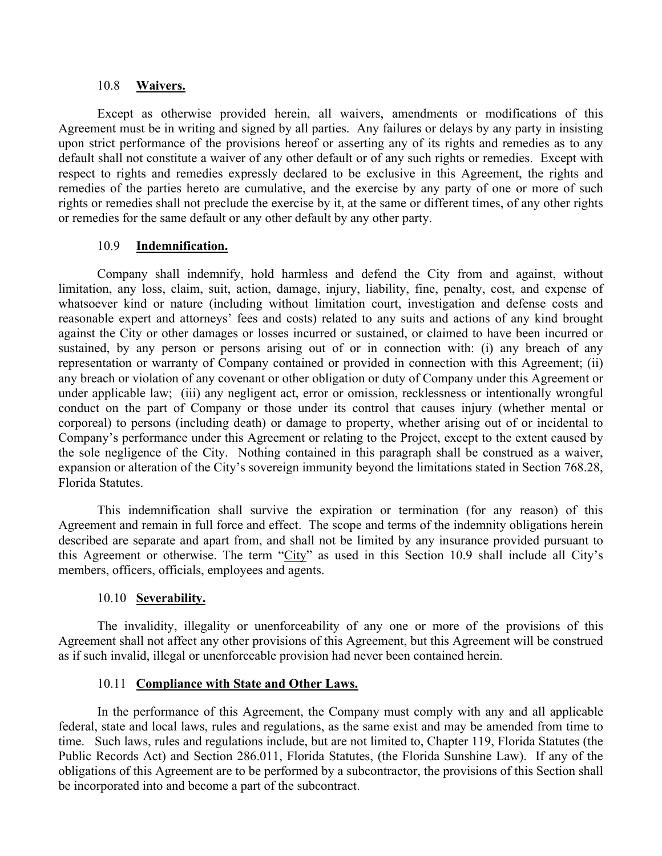#### 10.8 **Waivers.**

Except as otherwise provided herein, all waivers, amendments or modifications of this Agreement must be in writing and signed by all parties. Any failures or delays by any party in insisting upon strict performance of the provisions hereof or asserting any of its rights and remedies as to any default shall not constitute a waiver of any other default or of any such rights or remedies. Except with respect to rights and remedies expressly declared to be exclusive in this Agreement, the rights and remedies of the parties hereto are cumulative, and the exercise by any party of one or more of such rights or remedies shall not preclude the exercise by it, at the same or different times, of any other rights or remedies for the same default or any other default by any other party.

#### 10.9 **Indemnification.**

Company shall indemnify, hold harmless and defend the City from and against, without limitation, any loss, claim, suit, action, damage, injury, liability, fine, penalty, cost, and expense of whatsoever kind or nature (including without limitation court, investigation and defense costs and reasonable expert and attorneys' fees and costs) related to any suits and actions of any kind brought against the City or other damages or losses incurred or sustained, or claimed to have been incurred or sustained, by any person or persons arising out of or in connection with: (i) any breach of any representation or warranty of Company contained or provided in connection with this Agreement; (ii) any breach or violation of any covenant or other obligation or duty of Company under this Agreement or under applicable law; (iii) any negligent act, error or omission, recklessness or intentionally wrongful conduct on the part of Company or those under its control that causes injury (whether mental or corporeal) to persons (including death) or damage to property, whether arising out of or incidental to Company's performance under this Agreement or relating to the Project, except to the extent caused by the sole negligence of the City. Nothing contained in this paragraph shall be construed as a waiver, expansion or alteration of the City's sovereign immunity beyond the limitations stated in Section 768.28, Florida Statutes.

This indemnification shall survive the expiration or termination (for any reason) of this Agreement and remain in full force and effect. The scope and terms of the indemnity obligations herein described are separate and apart from, and shall not be limited by any insurance provided pursuant to this Agreement or otherwise. The term "City" as used in this Section 10.9 shall include all City's members, officers, officials, employees and agents.

#### 10.10 **Severability.**

The invalidity, illegality or unenforceability of any one or more of the provisions of this Agreement shall not affect any other provisions of this Agreement, but this Agreement will be construed as if such invalid, illegal or unenforceable provision had never been contained herein.

#### 10.11 **Compliance with State and Other Laws.**

In the performance of this Agreement, the Company must comply with any and all applicable federal, state and local laws, rules and regulations, as the same exist and may be amended from time to time. Such laws, rules and regulations include, but are not limited to, Chapter 119, Florida Statutes (the Public Records Act) and Section 286.011, Florida Statutes, (the Florida Sunshine Law). If any of the obligations of this Agreement are to be performed by a subcontractor, the provisions of this Section shall be incorporated into and become a part of the subcontract.

> **Revised On File Page 16 of 32**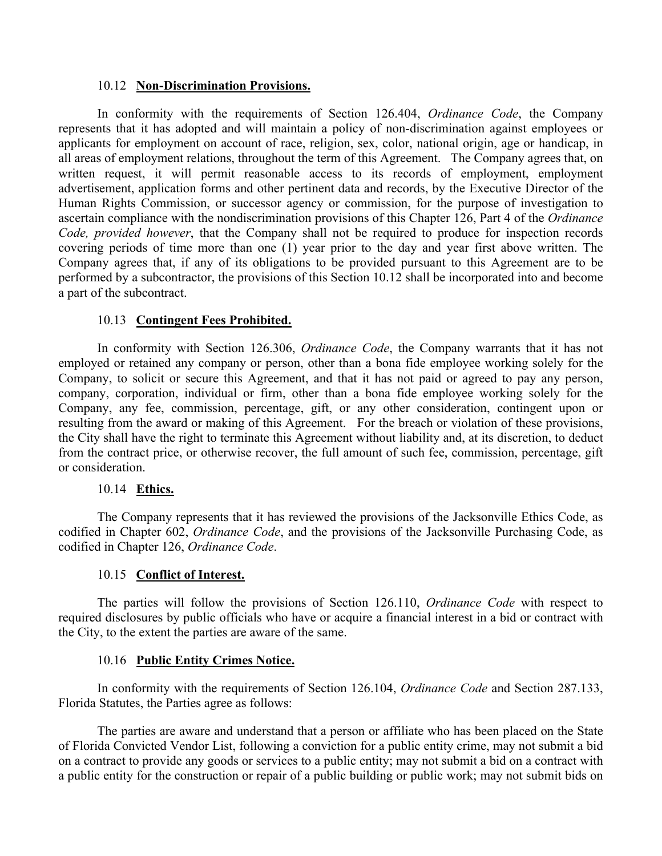#### 10.12 **Non-Discrimination Provisions.**

In conformity with the requirements of Section 126.404, *Ordinance Code*, the Company represents that it has adopted and will maintain a policy of non-discrimination against employees or applicants for employment on account of race, religion, sex, color, national origin, age or handicap, in all areas of employment relations, throughout the term of this Agreement. The Company agrees that, on written request, it will permit reasonable access to its records of employment, employment advertisement, application forms and other pertinent data and records, by the Executive Director of the Human Rights Commission, or successor agency or commission, for the purpose of investigation to ascertain compliance with the nondiscrimination provisions of this Chapter 126, Part 4 of the *Ordinance Code, provided however*, that the Company shall not be required to produce for inspection records covering periods of time more than one (1) year prior to the day and year first above written. The Company agrees that, if any of its obligations to be provided pursuant to this Agreement are to be performed by a subcontractor, the provisions of this Section 10.12 shall be incorporated into and become a part of the subcontract.

#### 10.13 **Contingent Fees Prohibited.**

In conformity with Section 126.306, *Ordinance Code*, the Company warrants that it has not employed or retained any company or person, other than a bona fide employee working solely for the Company, to solicit or secure this Agreement, and that it has not paid or agreed to pay any person, company, corporation, individual or firm, other than a bona fide employee working solely for the Company, any fee, commission, percentage, gift, or any other consideration, contingent upon or resulting from the award or making of this Agreement. For the breach or violation of these provisions, the City shall have the right to terminate this Agreement without liability and, at its discretion, to deduct from the contract price, or otherwise recover, the full amount of such fee, commission, percentage, gift or consideration.

#### 10.14 **Ethics.**

The Company represents that it has reviewed the provisions of the Jacksonville Ethics Code, as codified in Chapter 602, *Ordinance Code*, and the provisions of the Jacksonville Purchasing Code, as codified in Chapter 126, *Ordinance Code*.

#### 10.15 **Conflict of Interest.**

The parties will follow the provisions of Section 126.110, *Ordinance Code* with respect to required disclosures by public officials who have or acquire a financial interest in a bid or contract with the City, to the extent the parties are aware of the same.

#### 10.16 **Public Entity Crimes Notice.**

In conformity with the requirements of Section 126.104, *Ordinance Code* and Section 287.133, Florida Statutes, the Parties agree as follows:

The parties are aware and understand that a person or affiliate who has been placed on the State of Florida Convicted Vendor List, following a conviction for a public entity crime, may not submit a bid on a contract to provide any goods or services to a public entity; may not submit a bid on a contract with a public entity for the construction or repair of a public building or public work; may not submit bids on

> **Revised On File Page 17 of 32**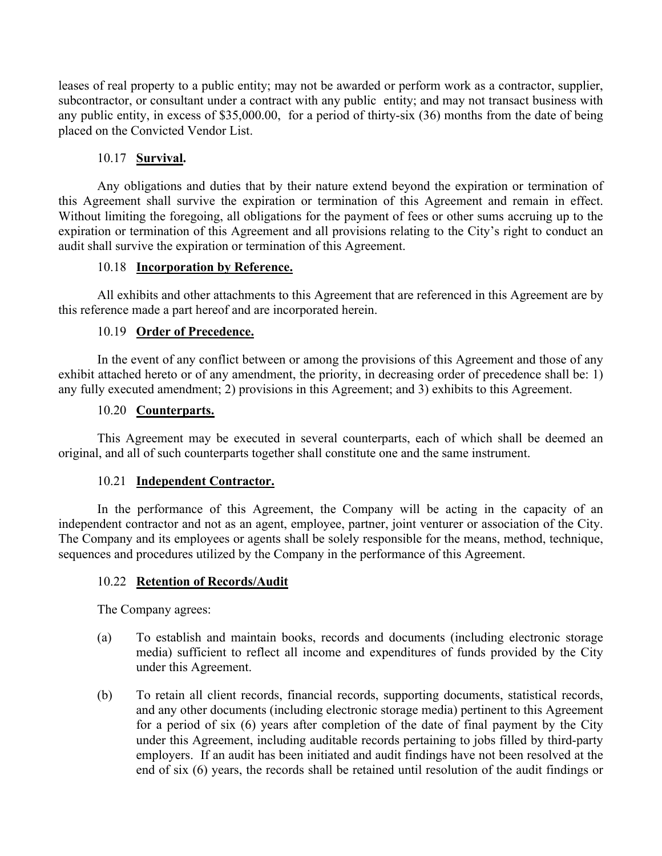leases of real property to a public entity; may not be awarded or perform work as a contractor, supplier, subcontractor, or consultant under a contract with any public entity; and may not transact business with any public entity, in excess of \$35,000.00, for a period of thirty-six (36) months from the date of being placed on the Convicted Vendor List.

## 10.17 **Survival.**

Any obligations and duties that by their nature extend beyond the expiration or termination of this Agreement shall survive the expiration or termination of this Agreement and remain in effect. Without limiting the foregoing, all obligations for the payment of fees or other sums accruing up to the expiration or termination of this Agreement and all provisions relating to the City's right to conduct an audit shall survive the expiration or termination of this Agreement.

## 10.18 **Incorporation by Reference.**

All exhibits and other attachments to this Agreement that are referenced in this Agreement are by this reference made a part hereof and are incorporated herein.

#### 10.19 **Order of Precedence.**

In the event of any conflict between or among the provisions of this Agreement and those of any exhibit attached hereto or of any amendment, the priority, in decreasing order of precedence shall be: 1) any fully executed amendment; 2) provisions in this Agreement; and 3) exhibits to this Agreement.

#### 10.20 **Counterparts.**

This Agreement may be executed in several counterparts, each of which shall be deemed an original, and all of such counterparts together shall constitute one and the same instrument.

## 10.21 **Independent Contractor.**

In the performance of this Agreement, the Company will be acting in the capacity of an independent contractor and not as an agent, employee, partner, joint venturer or association of the City. The Company and its employees or agents shall be solely responsible for the means, method, technique, sequences and procedures utilized by the Company in the performance of this Agreement.

## 10.22 **Retention of Records/Audit**

The Company agrees:

- (a) To establish and maintain books, records and documents (including electronic storage media) sufficient to reflect all income and expenditures of funds provided by the City under this Agreement.
- (b) To retain all client records, financial records, supporting documents, statistical records, and any other documents (including electronic storage media) pertinent to this Agreement for a period of six (6) years after completion of the date of final payment by the City under this Agreement, including auditable records pertaining to jobs filled by third-party employers. If an audit has been initiated and audit findings have not been resolved at the end of six (6) years, the records shall be retained until resolution of the audit findings or

**Revised On File Page 18 of 32**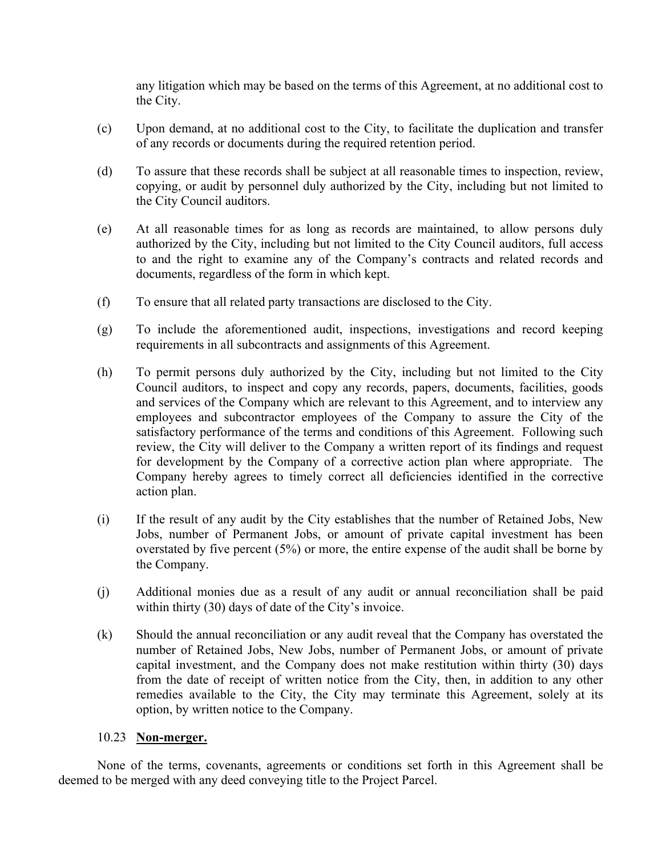any litigation which may be based on the terms of this Agreement, at no additional cost to the City.

- (c) Upon demand, at no additional cost to the City, to facilitate the duplication and transfer of any records or documents during the required retention period.
- (d) To assure that these records shall be subject at all reasonable times to inspection, review, copying, or audit by personnel duly authorized by the City, including but not limited to the City Council auditors.
- (e) At all reasonable times for as long as records are maintained, to allow persons duly authorized by the City, including but not limited to the City Council auditors, full access to and the right to examine any of the Company's contracts and related records and documents, regardless of the form in which kept.
- (f) To ensure that all related party transactions are disclosed to the City.
- (g) To include the aforementioned audit, inspections, investigations and record keeping requirements in all subcontracts and assignments of this Agreement.
- (h) To permit persons duly authorized by the City, including but not limited to the City Council auditors, to inspect and copy any records, papers, documents, facilities, goods and services of the Company which are relevant to this Agreement, and to interview any employees and subcontractor employees of the Company to assure the City of the satisfactory performance of the terms and conditions of this Agreement. Following such review, the City will deliver to the Company a written report of its findings and request for development by the Company of a corrective action plan where appropriate. The Company hereby agrees to timely correct all deficiencies identified in the corrective action plan.
- (i) If the result of any audit by the City establishes that the number of Retained Jobs, New Jobs, number of Permanent Jobs, or amount of private capital investment has been overstated by five percent (5%) or more, the entire expense of the audit shall be borne by the Company.
- (j) Additional monies due as a result of any audit or annual reconciliation shall be paid within thirty (30) days of date of the City's invoice.
- (k) Should the annual reconciliation or any audit reveal that the Company has overstated the number of Retained Jobs, New Jobs, number of Permanent Jobs, or amount of private capital investment, and the Company does not make restitution within thirty (30) days from the date of receipt of written notice from the City, then, in addition to any other remedies available to the City, the City may terminate this Agreement, solely at its option, by written notice to the Company.

#### 10.23 **Non-merger.**

None of the terms, covenants, agreements or conditions set forth in this Agreement shall be deemed to be merged with any deed conveying title to the Project Parcel.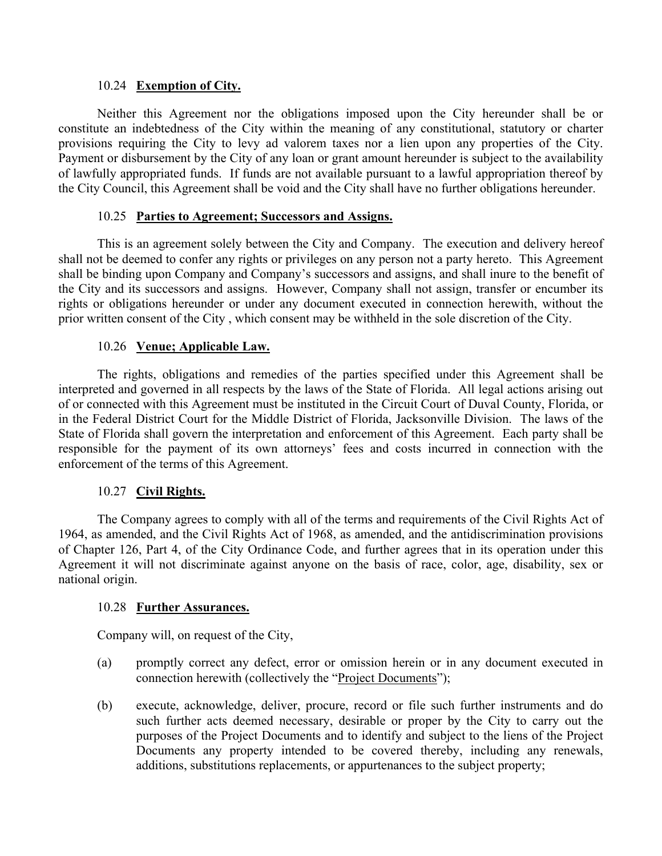#### 10.24 **Exemption of City.**

Neither this Agreement nor the obligations imposed upon the City hereunder shall be or constitute an indebtedness of the City within the meaning of any constitutional, statutory or charter provisions requiring the City to levy ad valorem taxes nor a lien upon any properties of the City. Payment or disbursement by the City of any loan or grant amount hereunder is subject to the availability of lawfully appropriated funds. If funds are not available pursuant to a lawful appropriation thereof by the City Council, this Agreement shall be void and the City shall have no further obligations hereunder.

#### 10.25 **Parties to Agreement; Successors and Assigns.**

This is an agreement solely between the City and Company. The execution and delivery hereof shall not be deemed to confer any rights or privileges on any person not a party hereto. This Agreement shall be binding upon Company and Company's successors and assigns, and shall inure to the benefit of the City and its successors and assigns. However, Company shall not assign, transfer or encumber its rights or obligations hereunder or under any document executed in connection herewith, without the prior written consent of the City , which consent may be withheld in the sole discretion of the City.

#### 10.26 **Venue; Applicable Law.**

The rights, obligations and remedies of the parties specified under this Agreement shall be interpreted and governed in all respects by the laws of the State of Florida. All legal actions arising out of or connected with this Agreement must be instituted in the Circuit Court of Duval County, Florida, or in the Federal District Court for the Middle District of Florida, Jacksonville Division. The laws of the State of Florida shall govern the interpretation and enforcement of this Agreement. Each party shall be responsible for the payment of its own attorneys' fees and costs incurred in connection with the enforcement of the terms of this Agreement.

#### 10.27 **Civil Rights.**

The Company agrees to comply with all of the terms and requirements of the Civil Rights Act of 1964, as amended, and the Civil Rights Act of 1968, as amended, and the antidiscrimination provisions of Chapter 126, Part 4, of the City Ordinance Code, and further agrees that in its operation under this Agreement it will not discriminate against anyone on the basis of race, color, age, disability, sex or national origin.

#### 10.28 **Further Assurances.**

Company will, on request of the City,

- (a) promptly correct any defect, error or omission herein or in any document executed in connection herewith (collectively the "Project Documents");
- (b) execute, acknowledge, deliver, procure, record or file such further instruments and do such further acts deemed necessary, desirable or proper by the City to carry out the purposes of the Project Documents and to identify and subject to the liens of the Project Documents any property intended to be covered thereby, including any renewals, additions, substitutions replacements, or appurtenances to the subject property;

**Revised On File Page 20 of 32**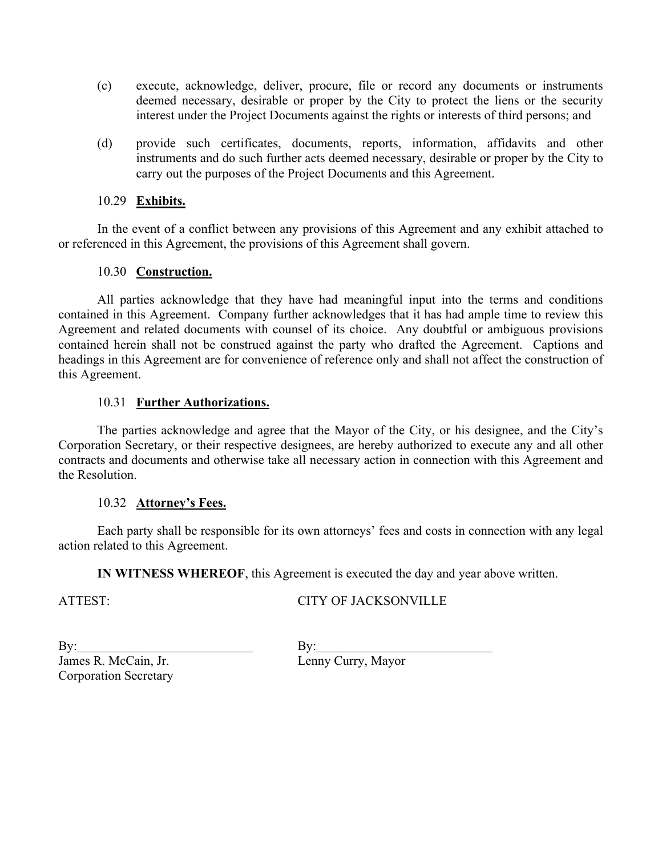- (c) execute, acknowledge, deliver, procure, file or record any documents or instruments deemed necessary, desirable or proper by the City to protect the liens or the security interest under the Project Documents against the rights or interests of third persons; and
- (d) provide such certificates, documents, reports, information, affidavits and other instruments and do such further acts deemed necessary, desirable or proper by the City to carry out the purposes of the Project Documents and this Agreement.

#### 10.29 **Exhibits.**

In the event of a conflict between any provisions of this Agreement and any exhibit attached to or referenced in this Agreement, the provisions of this Agreement shall govern.

#### 10.30 **Construction.**

All parties acknowledge that they have had meaningful input into the terms and conditions contained in this Agreement. Company further acknowledges that it has had ample time to review this Agreement and related documents with counsel of its choice. Any doubtful or ambiguous provisions contained herein shall not be construed against the party who drafted the Agreement. Captions and headings in this Agreement are for convenience of reference only and shall not affect the construction of this Agreement.

#### 10.31 **Further Authorizations.**

The parties acknowledge and agree that the Mayor of the City, or his designee, and the City's Corporation Secretary, or their respective designees, are hereby authorized to execute any and all other contracts and documents and otherwise take all necessary action in connection with this Agreement and the Resolution.

#### 10.32 **Attorney's Fees.**

Each party shall be responsible for its own attorneys' fees and costs in connection with any legal action related to this Agreement.

**IN WITNESS WHEREOF**, this Agreement is executed the day and year above written.

ATTEST:

## CITY OF JACKSONVILLE

By: James R. McCain, Jr. Corporation Secretary

 $By:$ Lenny Curry, Mayor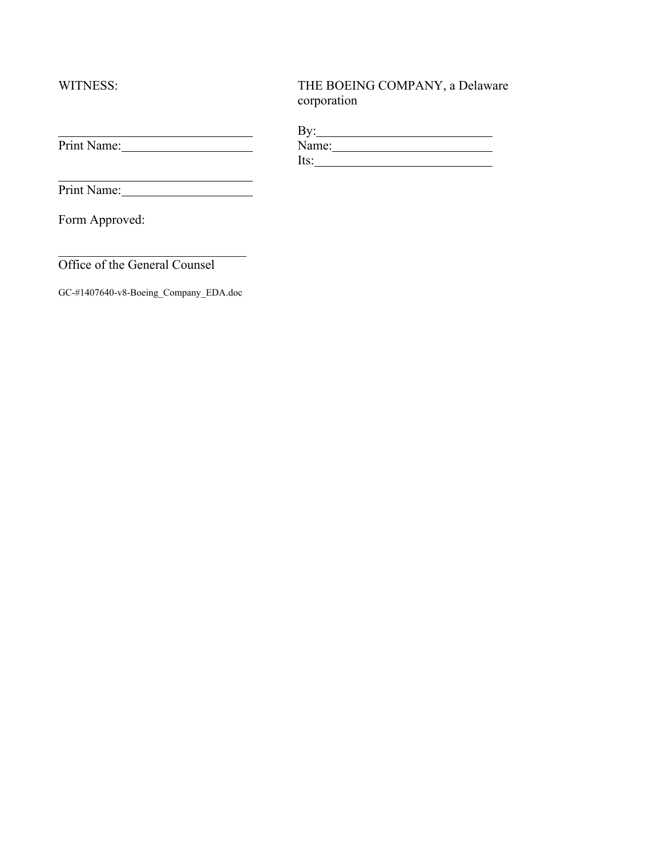WITNESS:

 $\overline{a}$ 

# THE BOEING COMPANY, a Delaware corporation

|             | ה ל.<br>ָט |  |
|-------------|------------|--|
| Print Name: | Name:      |  |
|             | Its:       |  |

Print Name:

Form Approved:

Office of the General Counsel

GC-#1407640-v8-Boeing\_Company\_EDA.doc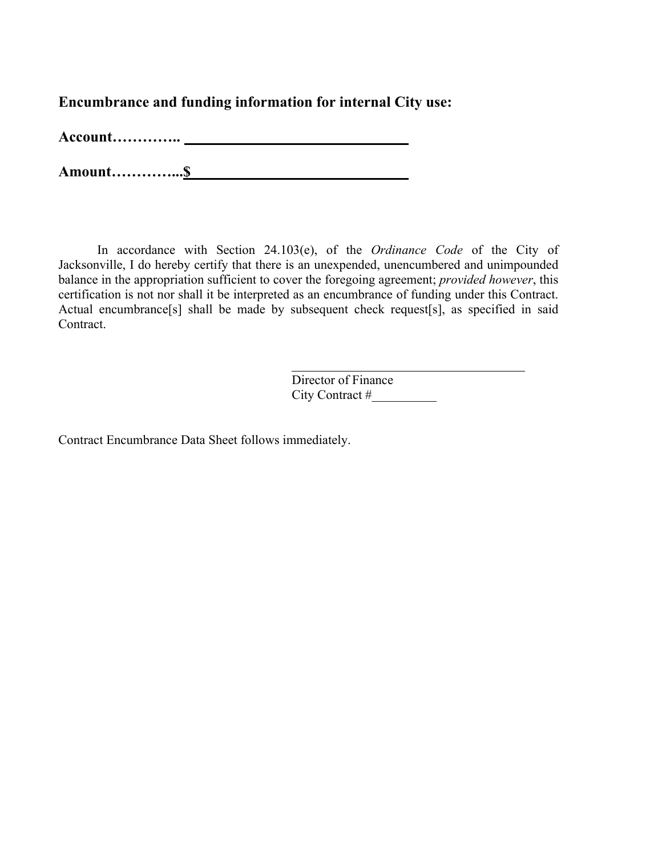**Encumbrance and funding information for internal City use:** 

**Account…………..** 

**Amount…………...\$** 

In accordance with Section 24.103(e), of the *Ordinance Code* of the City of Jacksonville, I do hereby certify that there is an unexpended, unencumbered and unimpounded balance in the appropriation sufficient to cover the foregoing agreement; *provided however*, this certification is not nor shall it be interpreted as an encumbrance of funding under this Contract. Actual encumbrance[s] shall be made by subsequent check request[s], as specified in said Contract.

> Director of Finance City Contract #

Contract Encumbrance Data Sheet follows immediately.

**Revised On File Page 23 of 32**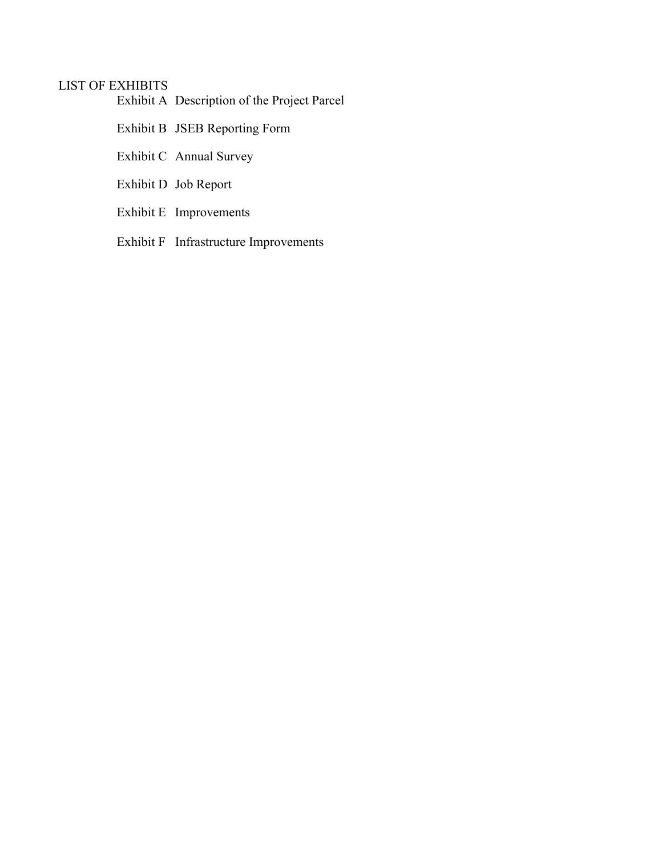## LIST OF EXHIBITS

Exhibit A Description of the Project Parcel

- Exhibit B JSEB Reporting Form
- Exhibit C Annual Survey
- Exhibit D Job Report
- Exhibit E Improvements
- Exhibit F Infrastructure Improvements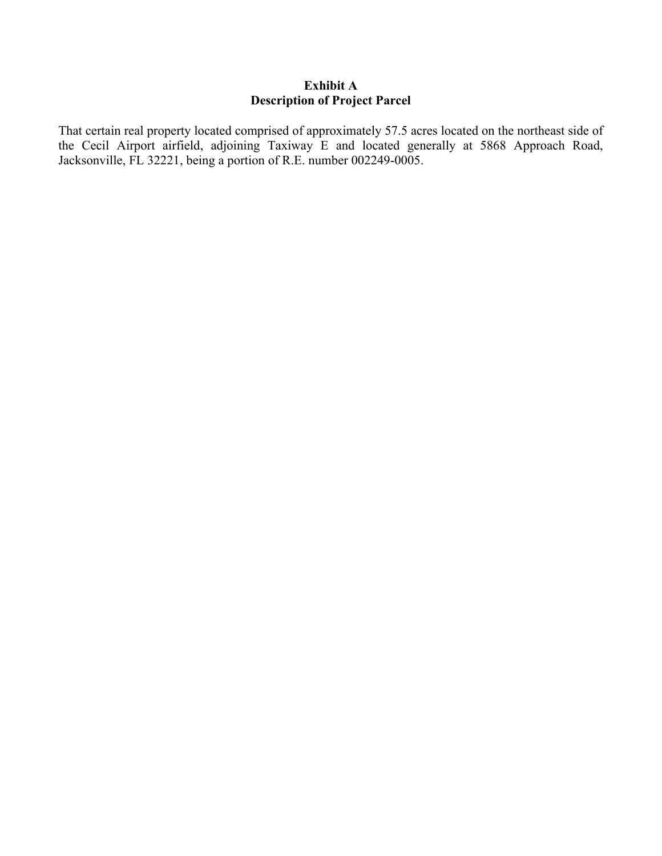#### **Exhibit A Description of Project Parcel**

That certain real property located comprised of approximately 57.5 acres located on the northeast side of the Cecil Airport airfield, adjoining Taxiway E and located generally at 5868 Approach Road, Jacksonville, FL 32221, being a portion of R.E. number 002249-0005.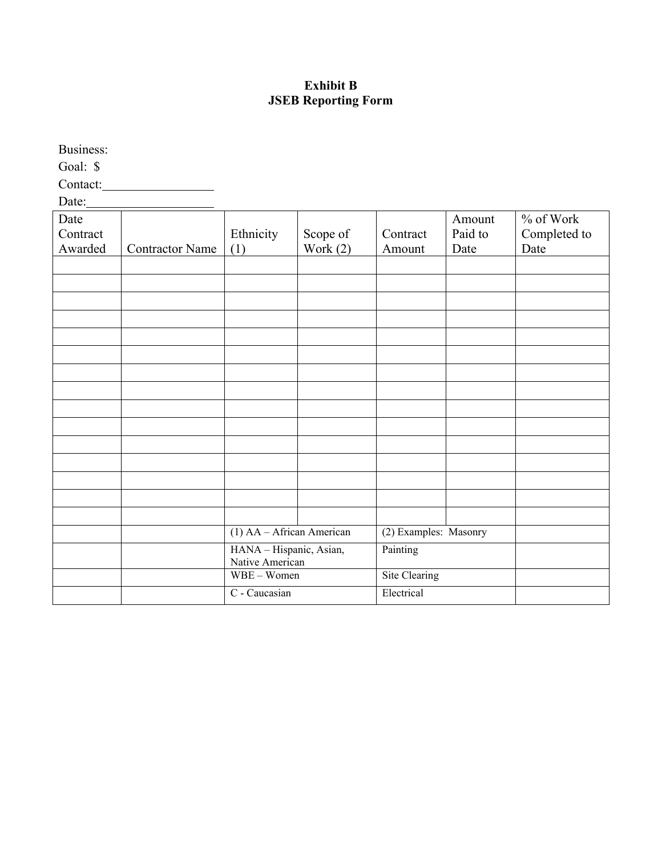# **Exhibit B JSEB Reporting Form**

Business:

Goal: \$

Contact:

Date:

| Date<br>Contract |                        | Ethnicity                                  | Scope of   | Contract              | Amount<br>Paid to | % of Work<br>Completed to |
|------------------|------------------------|--------------------------------------------|------------|-----------------------|-------------------|---------------------------|
| Awarded          | <b>Contractor Name</b> | (1)                                        | Work $(2)$ | Amount                | Date              | Date                      |
|                  |                        |                                            |            |                       |                   |                           |
|                  |                        |                                            |            |                       |                   |                           |
|                  |                        |                                            |            |                       |                   |                           |
|                  |                        |                                            |            |                       |                   |                           |
|                  |                        |                                            |            |                       |                   |                           |
|                  |                        |                                            |            |                       |                   |                           |
|                  |                        |                                            |            |                       |                   |                           |
|                  |                        |                                            |            |                       |                   |                           |
|                  |                        |                                            |            |                       |                   |                           |
|                  |                        |                                            |            |                       |                   |                           |
|                  |                        |                                            |            |                       |                   |                           |
|                  |                        |                                            |            |                       |                   |                           |
|                  |                        |                                            |            |                       |                   |                           |
|                  |                        |                                            |            |                       |                   |                           |
|                  |                        |                                            |            |                       |                   |                           |
|                  |                        | $(1)$ AA – African American                |            | (2) Examples: Masonry |                   |                           |
|                  |                        | HANA - Hispanic, Asian,<br>Native American |            | Painting              |                   |                           |
|                  |                        | WBE - Women                                |            | Site Clearing         |                   |                           |
|                  |                        | C - Caucasian                              |            | Electrical            |                   |                           |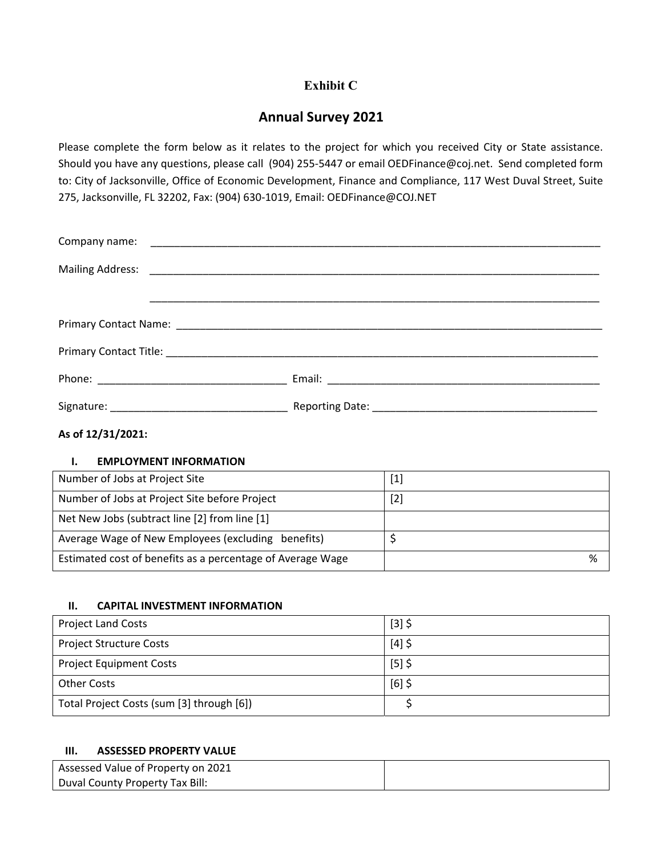# **Exhibit C**

# **Annual Survey 2021**

Please complete the form below as it relates to the project for which you received City or State assistance. Should you have any questions, please call (904) 255‐5447 or email OEDFinance@coj.net. Send completed form to: City of Jacksonville, Office of Economic Development, Finance and Compliance, 117 West Duval Street, Suite 275, Jacksonville, FL 32202, Fax: (904) 630‐1019, Email: OEDFinance@COJ.NET

#### **As of 12/31/2021:**

#### **I. EMPLOYMENT INFORMATION**

| Number of Jobs at Project Site                             | $[1]$ |
|------------------------------------------------------------|-------|
| Number of Jobs at Project Site before Project              | $[2]$ |
| Net New Jobs (subtract line [2] from line [1]              |       |
| Average Wage of New Employees (excluding benefits)         |       |
| Estimated cost of benefits as a percentage of Average Wage | %     |

#### **II. CAPITAL INVESTMENT INFORMATION**

| <b>Project Land Costs</b>                 | $[3]$ \$ |
|-------------------------------------------|----------|
| <b>Project Structure Costs</b>            | $[4]$ \$ |
| <b>Project Equipment Costs</b>            | $[5]$ \$ |
| <b>Other Costs</b>                        | $[6]$ \$ |
| Total Project Costs (sum [3] through [6]) |          |

#### **III. ASSESSED PROPERTY VALUE**

| Assessed Value of Property on 2021 |  |
|------------------------------------|--|
| Duval County Property Tax Bill:    |  |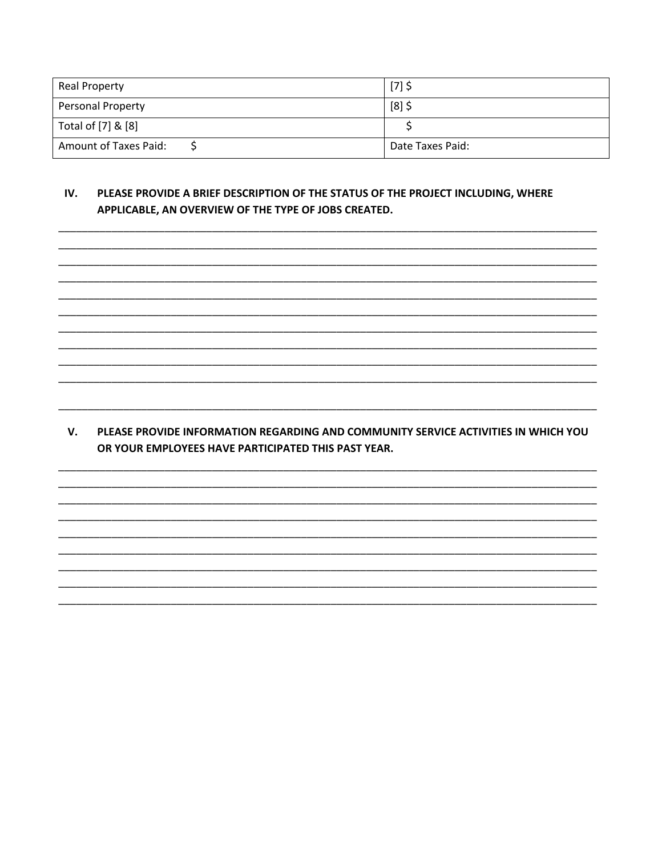| <b>Real Property</b>  | $[7]$ \$         |
|-----------------------|------------------|
| Personal Property     | $[8]$ \$         |
| Total of [7] & [8]    |                  |
| Amount of Taxes Paid: | Date Taxes Paid: |

#### IV. PLEASE PROVIDE A BRIEF DESCRIPTION OF THE STATUS OF THE PROJECT INCLUDING, WHERE APPLICABLE, AN OVERVIEW OF THE TYPE OF JOBS CREATED.

V. PLEASE PROVIDE INFORMATION REGARDING AND COMMUNITY SERVICE ACTIVITIES IN WHICH YOU OR YOUR EMPLOYEES HAVE PARTICIPATED THIS PAST YEAR.

> Revised On File Page 28 of 32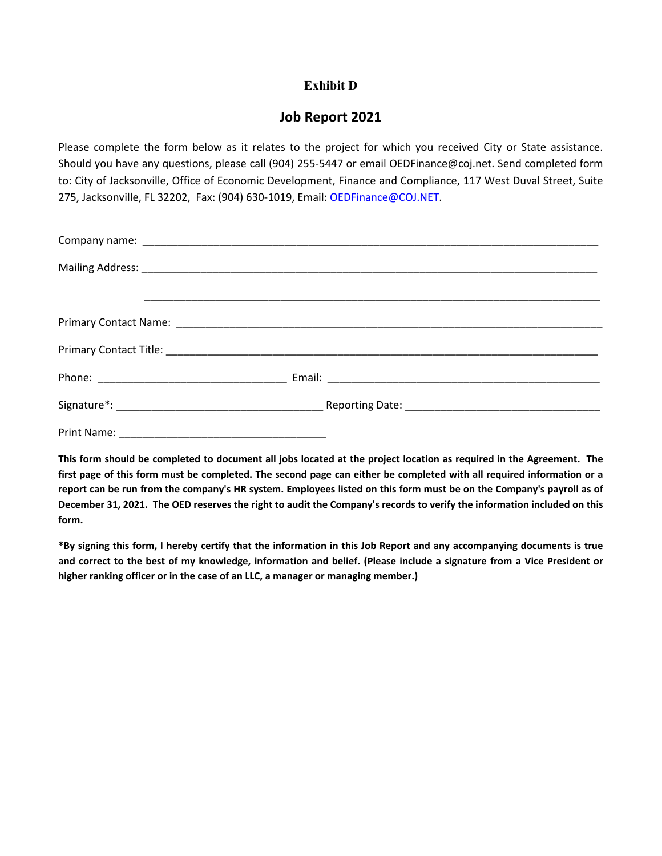## **Exhibit D**

# **Job Report 2021**

Please complete the form below as it relates to the project for which you received City or State assistance. Should you have any questions, please call (904) 255‐5447 or email OEDFinance@coj.net. Send completed form to: City of Jacksonville, Office of Economic Development, Finance and Compliance, 117 West Duval Street, Suite 275, Jacksonville, FL 32202, Fax: (904) 630-1019, Email: OEDFinance@COJ.NET.

This form should be completed to document all jobs located at the project location as required in the Agreement. The first page of this form must be completed. The second page can either be completed with all required information or a report can be run from the company's HR system. Employees listed on this form must be on the Company's payroll as of December 31, 2021. The OED reserves the right to audit the Company's records to verify the information included on this form.

\*By signing this form, I hereby certify that the information in this Job Report and any accompanying documents is true and correct to the best of my knowledge, information and belief. (Please include a signature from a Vice President or **higher ranking officer or in the case of an LLC, a manager or managing member.)**

> **Revised On File Page 29 of 32**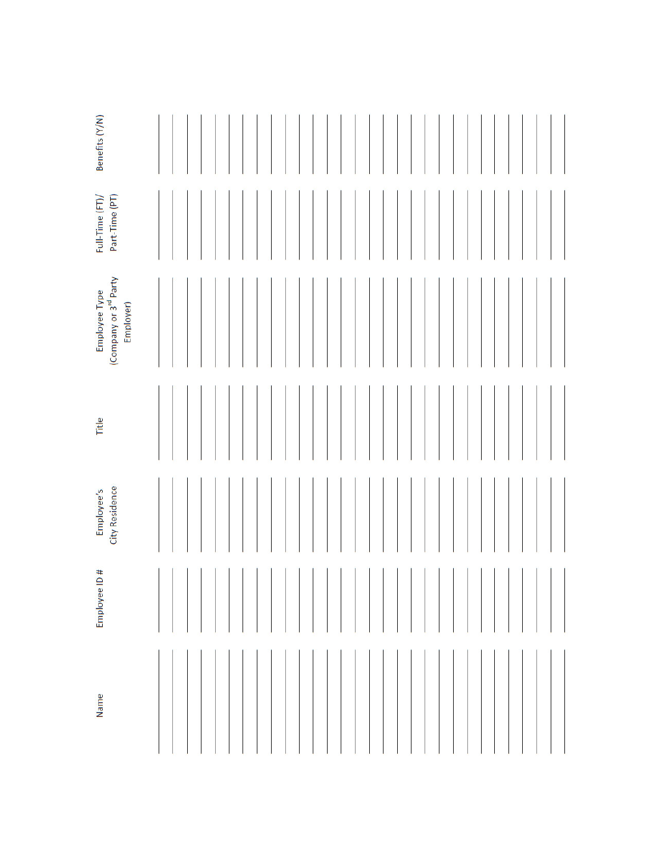| Benefits (Y/N)                                                  |  |  |  |  |  |  |  |  |  |  |  |  |  |  |  |
|-----------------------------------------------------------------|--|--|--|--|--|--|--|--|--|--|--|--|--|--|--|
| Part-Time (PT)<br>Full-Time (FT)/                               |  |  |  |  |  |  |  |  |  |  |  |  |  |  |  |
| (Company or 3 <sup>rd</sup> Party<br>Employee Type<br>Employer) |  |  |  |  |  |  |  |  |  |  |  |  |  |  |  |
| Title                                                           |  |  |  |  |  |  |  |  |  |  |  |  |  |  |  |
| City Residence<br>Employee's                                    |  |  |  |  |  |  |  |  |  |  |  |  |  |  |  |
| ♯<br>$\supseteq$<br><b>Employee</b>                             |  |  |  |  |  |  |  |  |  |  |  |  |  |  |  |
| Name                                                            |  |  |  |  |  |  |  |  |  |  |  |  |  |  |  |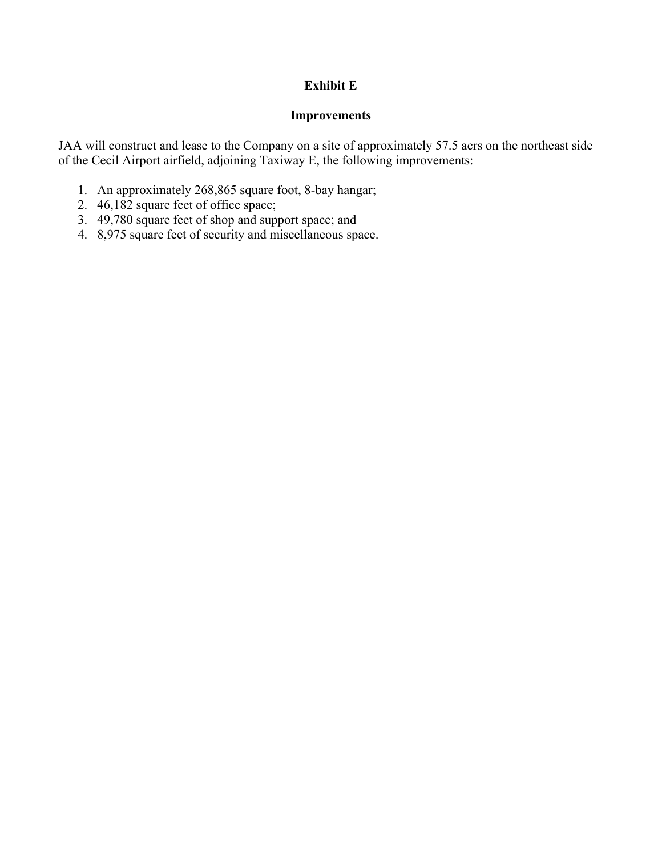# **Exhibit E**

## **Improvements**

JAA will construct and lease to the Company on a site of approximately 57.5 acrs on the northeast side of the Cecil Airport airfield, adjoining Taxiway E, the following improvements:

- 1. An approximately 268,865 square foot, 8-bay hangar;
- 2. 46,182 square feet of office space;
- 3. 49,780 square feet of shop and support space; and
- 4. 8,975 square feet of security and miscellaneous space.